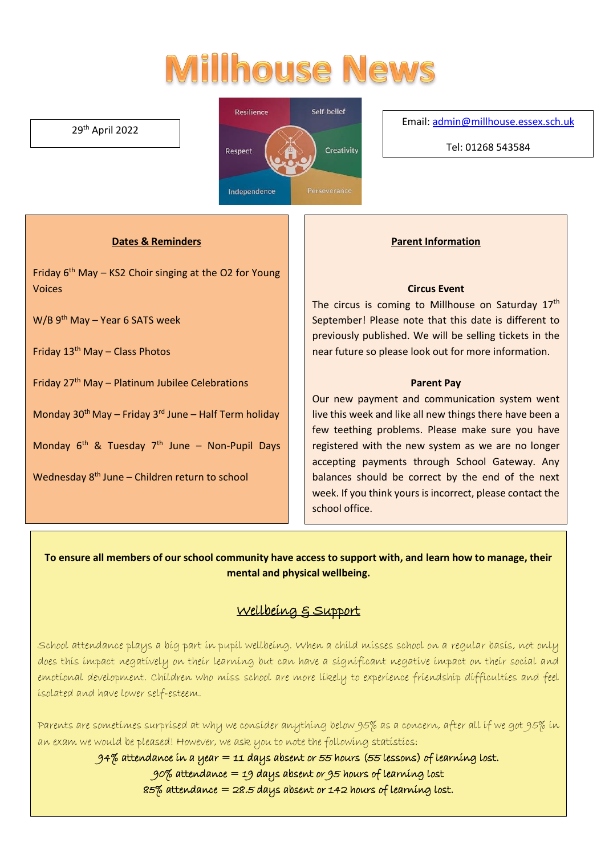# **Millhouse News**

### 29th April 2022



Email[: admin@millhouse.essex.sch.uk](mailto:admin@millhouse.essex.sch.uk)

Tel: 01268 543584

### **Dates & Reminders**

Friday  $6<sup>th</sup>$  May – KS2 Choir singing at the O2 for Young Voices

W/B 9<sup>th</sup> May – Year 6 SATS week

Friday  $13<sup>th</sup>$  May – Class Photos

Friday  $27<sup>th</sup>$  May – Platinum Jubilee Celebrations

Monday 30<sup>th</sup> May – Friday 3<sup>rd</sup> June – Half Term holiday

Monday 6<sup>th</sup> & Tuesday 7<sup>th</sup> June - Non-Pupil Days

Wednesday 8<sup>th</sup> June – Children return to school

#### **Parent Information**

#### **Circus Event**

The circus is coming to Millhouse on Saturday 17<sup>th</sup> September! Please note that this date is different to previously published. We will be selling tickets in the near future so please look out for more information.

#### **Parent Pay**

Our new payment and communication system went live this week and like all new things there have been a few teething problems. Please make sure you have registered with the new system as we are no longer accepting payments through School Gateway. Any balances should be correct by the end of the next week. If you think yours is incorrect, please contact the school office.

**To ensure all members of our school community have access to support with, and learn how to manage, their mental and physical wellbeing.**

# Wellbeing & Support

School attendance plays a big part in pupil wellbeing. When a child misses school on a regular basis, not only does this impact negatively on their learning but can have a significant negative impact on their social and emotional development. Children who miss school are more likely to experience friendship difficulties and feel isolated and have lower self-esteem.

Parents are sometimes surprised at why we consider anything below 95% as a concern, after all if we got 95% in an exam we would be pleased! However, we ask you to note the following statistics:

94% attendance in a year  $=$  11 days absent or 55 hours (55 lessons) of learning lost.

 $90\%$  attendance = 19 days absent or 95 hours of learning lost

85% attendance  $=$  28.5 days absent or 142 hours of learning lost.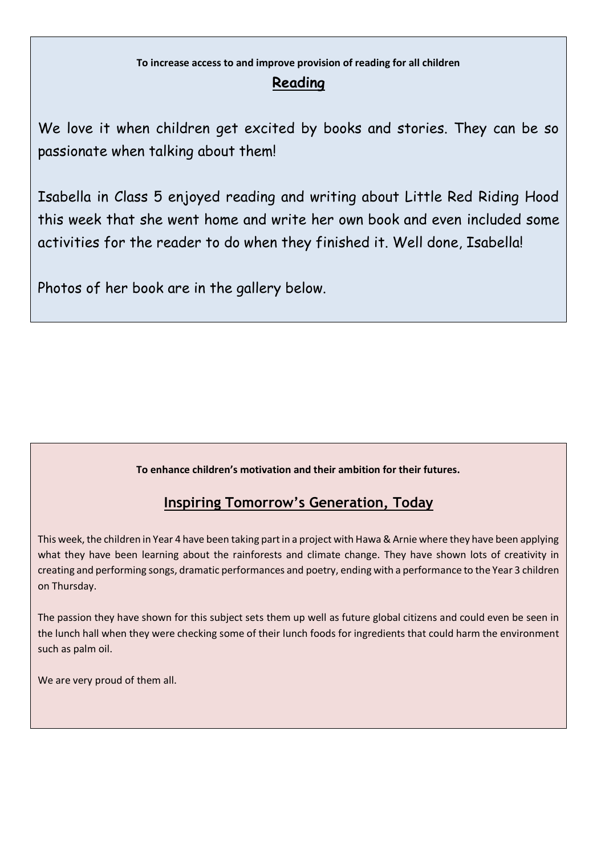# **To increase access to and improve provision of reading for all children Reading**

We love it when children get excited by books and stories. They can be so passionate when talking about them!

Isabella in Class 5 enjoyed reading and writing about Little Red Riding Hood this week that she went home and write her own book and even included some activities for the reader to do when they finished it. Well done, Isabella!

Photos of her book are in the gallery below.

## **To enhance children's motivation and their ambition for their futures.**

# **Inspiring Tomorrow's Generation, Today**

This week, the children in Year 4 have been taking part in a project with Hawa & Arnie where they have been applying what they have been learning about the rainforests and climate change. They have shown lots of creativity in creating and performing songs, dramatic performances and poetry, ending with a performance to the Year 3 children on Thursday.

The passion they have shown for this subject sets them up well as future global citizens and could even be seen in the lunch hall when they were checking some of their lunch foods for ingredients that could harm the environment such as palm oil.

We are very proud of them all.